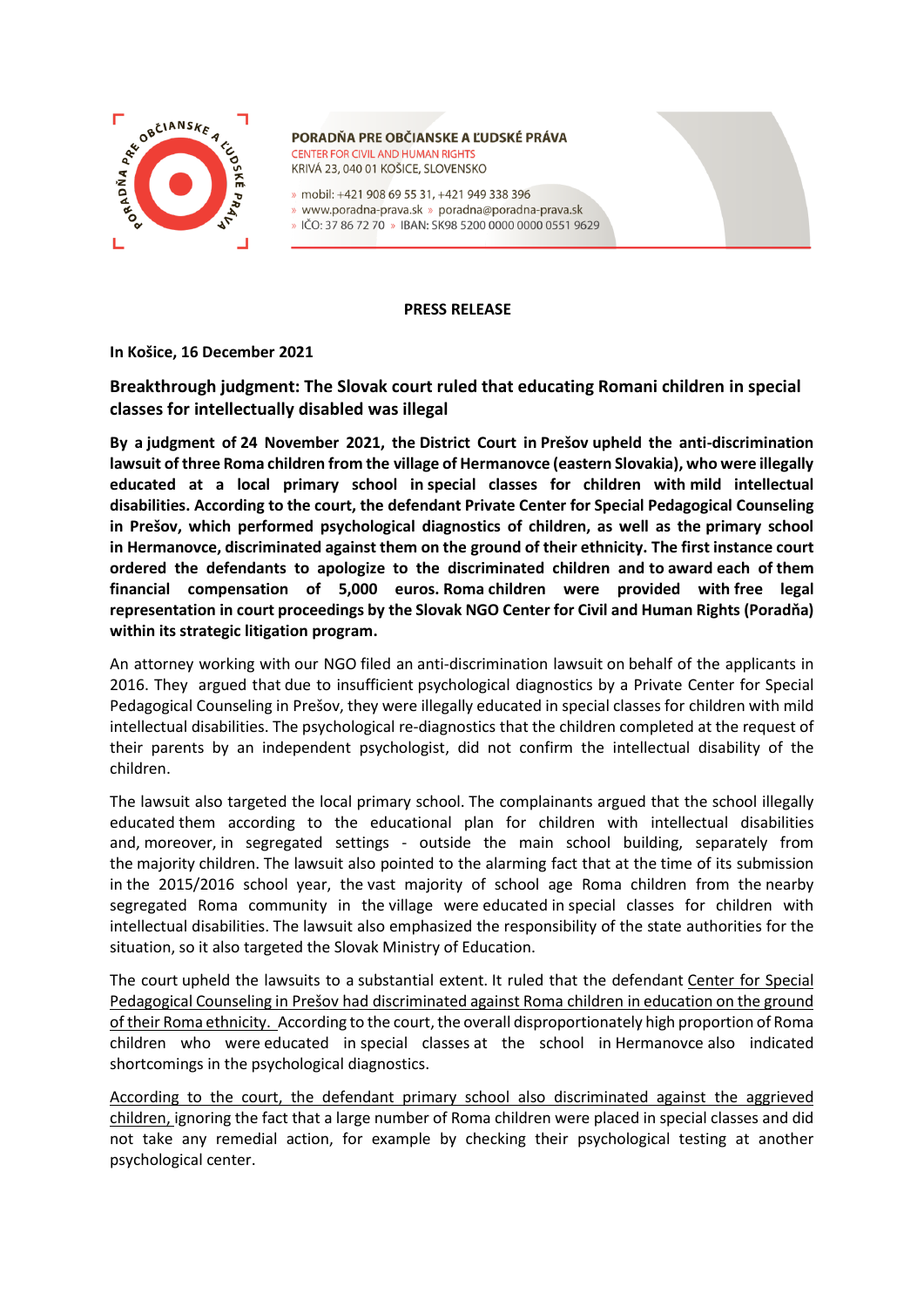

PORADŇA PRE OBČIANSKE A ĽUDSKÉ PRÁVA **CENTER FOR CIVIL AND HUMAN RIGHTS** KRIVÁ 23, 040 01 KOŠICE, SLOVENSKO

» mobil: +421 908 69 55 31, +421 949 338 396

- » www.poradna-prava.sk » poradna@poradna-prava.sk
- » IČO: 37 86 72 70 » IBAN: SK98 5200 0000 0000 0551 9629

#### **PRESS RELEASE**

**In Košice, 16 December 2021**

# **Breakthrough judgment: The Slovak court ruled that educating Romani children in special classes for intellectually disabled was illegal**

**By a judgment of 24 November 2021, the District Court in Prešov upheld the anti-discrimination lawsuit of three Roma children from the village of Hermanovce (eastern Slovakia), who were illegally educated at a local primary school in special classes for children with mild intellectual disabilities. According to the court, the defendant Private Center for Special Pedagogical Counseling in Prešov, which performed psychological diagnostics of children, as well as the primary school in Hermanovce, discriminated against them on the ground of their ethnicity. The first instance court ordered the defendants to apologize to the discriminated children and to award each of them financial compensation of 5,000 euros. Roma children were provided with free legal representation in court proceedings by the Slovak NGO Center for Civil and Human Rights (Poradňa) within its strategic litigation program.**

An attorney working with our NGO filed an anti-discrimination lawsuit on behalf of the applicants in 2016. They argued that due to insufficient psychological diagnostics by a Private Center for Special Pedagogical Counseling in Prešov, they were illegally educated in special classes for children with mild intellectual disabilities. The psychological re-diagnostics that the children completed at the request of their parents by an independent psychologist, did not confirm the intellectual disability of the children.

The lawsuit also targeted the local primary school. The complainants argued that the school illegally educated them according to the educational plan for children with intellectual disabilities and, moreover, in segregated settings - outside the main school building, separately from the majority children. The lawsuit also pointed to the alarming fact that at the time of its submission in the 2015/2016 school year, the vast majority of school age Roma children from the nearby segregated Roma community in the village were educated in special classes for children with intellectual disabilities. The lawsuit also emphasized the responsibility of the state authorities for the situation, so it also targeted the Slovak Ministry of Education.

The court upheld the lawsuits to a substantial extent. It ruled that the defendant Center for Special Pedagogical Counseling in Prešov had discriminated against Roma children in education on the ground of their Roma ethnicity. According to the court, the overall disproportionately high proportion of Roma children who were educated in special classes at the school in Hermanovce also indicated shortcomings in the psychological diagnostics.

According to the court, the defendant primary school also discriminated against the aggrieved children, ignoring the fact that a large number of Roma children were placed in special classes and did not take any remedial action, for example by checking their psychological testing at another psychological center.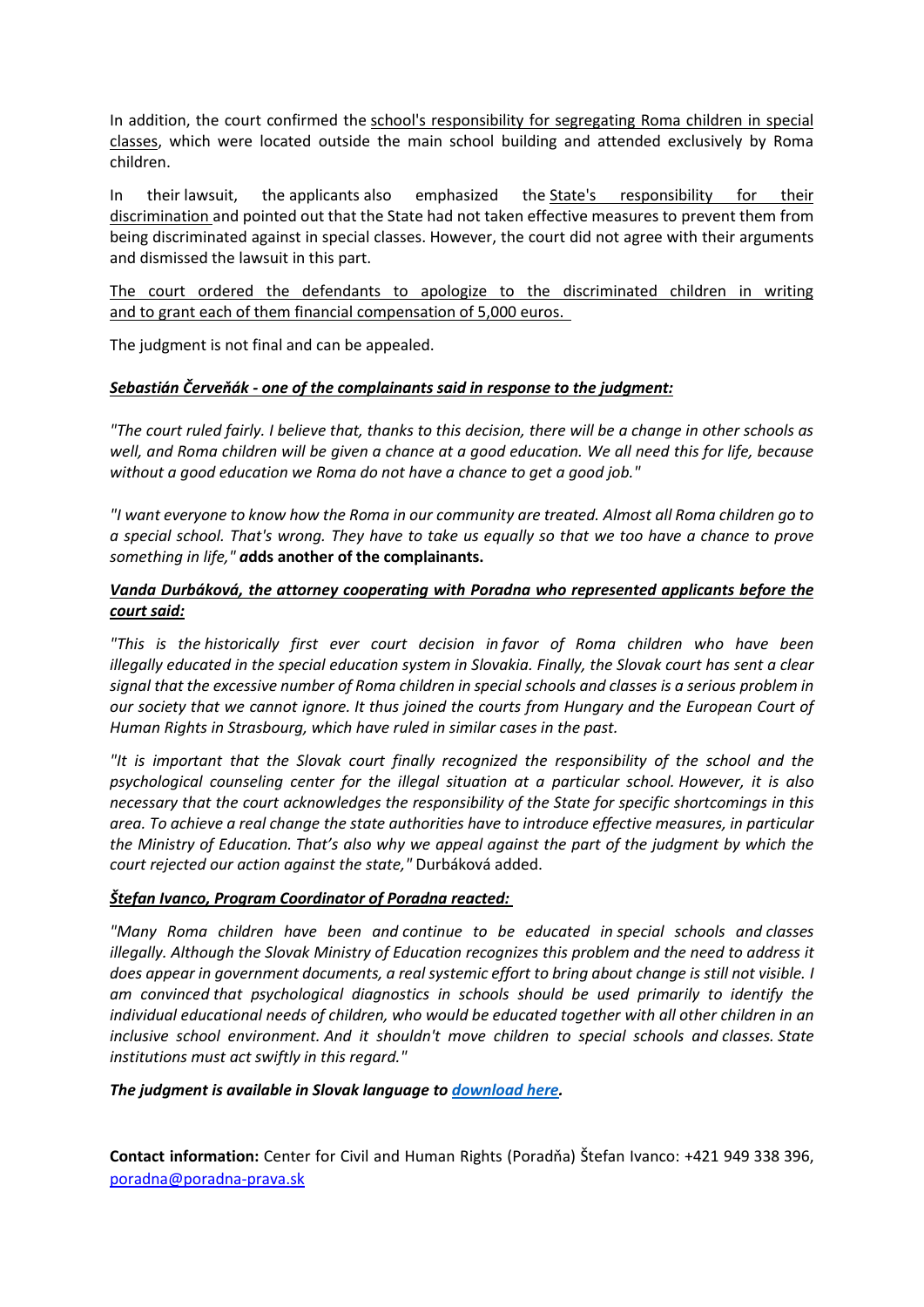In addition, the court confirmed the school's responsibility for segregating Roma children in special classes, which were located outside the main school building and attended exclusively by Roma children.

In their lawsuit, the applicants also emphasized the State's responsibility for their discrimination and pointed out that the State had not taken effective measures to prevent them from being discriminated against in special classes. However, the court did not agree with their arguments and dismissed the lawsuit in this part.

The court ordered the defendants to apologize to the discriminated children in writing and to grant each of them financial compensation of 5,000 euros.

The judgment is not final and can be appealed.

## *Sebastián Červeňák - one of the complainants said in response to the judgment:*

*"The court ruled fairly. I believe that, thanks to this decision, there will be a change in other schools as well, and Roma children will be given a chance at a good education. We all need this for life, because without a good education we Roma do not have a chance to get a good job."*

*"I want everyone to know how the Roma in our community are treated. Almost all Roma children go to a special school. That's wrong. They have to take us equally so that we too have a chance to prove something in life," a***dds another of the complainants.**

## *Vanda Durbáková, the attorney cooperating with Poradna who represented applicants before the court said:*

*"This is the historically first ever court decision in favor of Roma children who have been illegally educated in the special education system in Slovakia. Finally, the Slovak court has sent a clear signal that the excessive number of Roma children in special schools and classes is a serious problem in our society that we cannot ignore. It thus joined the courts from Hungary and the European Court of Human Rights in Strasbourg, which have ruled in similar cases in the past.* 

*"It is important that the Slovak court finally recognized the responsibility of the school and the psychological counseling center for the illegal situation at a particular school. However, it is also necessary that the court acknowledges the responsibility of the State for specific shortcomings in this area. To achieve a real change the state authorities have to introduce effective measures, in particular the Ministry of Education. That's also why we appeal against the part of the judgment by which the court rejected our action against the state,"* Durbáková added.

#### *Štefan Ivanco, Program Coordinator of Poradna reacted:*

*"Many Roma children have been and continue to be educated in special schools and classes illegally. Although the Slovak Ministry of Education recognizes this problem and the need to address it does appear in government documents, a real systemic effort to bring about change is still not visible. I am convinced that psychological diagnostics in schools should be used primarily to identify the individual educational needs of children, who would be educated together with all other children in an inclusive school environment. And it shouldn't move children to special schools and classes. State institutions must act swiftly in this regard."* 

#### *The judgment is available in Slovak language to [download here.](https://poradna-prava.sk/wp-content/uploads/2021/12/rozsudok-Okresneho-sudu-Presov-zo-dna-24112021.pdf)*

**Contact information:** Center for Civil and Human Rights (Poradňa) Štefan Ivanco: +421 949 338 396, [poradna@poradna-prava.sk](mailto:poradna@poradna-prava.sk)